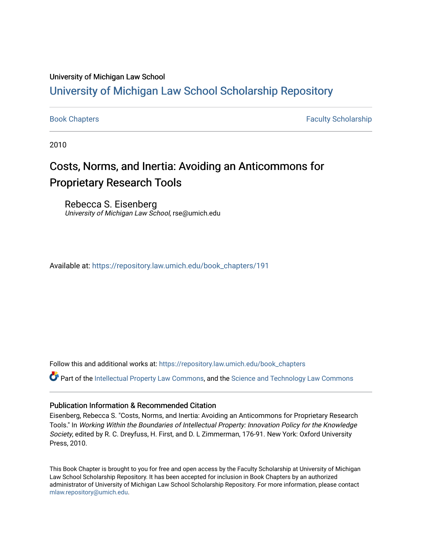### University of Michigan Law School

## [University of Michigan Law School Scholarship Repository](https://repository.law.umich.edu/)

[Book Chapters](https://repository.law.umich.edu/book_chapters) Faculty Scholarship

2010

# Costs, Norms, and Inertia: Avoiding an Anticommons for Proprietary Research Tools

Rebecca S. Eisenberg University of Michigan Law School, rse@umich.edu

Available at: [https://repository.law.umich.edu/book\\_chapters/191](https://repository.law.umich.edu/book_chapters/191) 

Follow this and additional works at: [https://repository.law.umich.edu/book\\_chapters](https://repository.law.umich.edu/book_chapters?utm_source=repository.law.umich.edu%2Fbook_chapters%2F191&utm_medium=PDF&utm_campaign=PDFCoverPages)

Part of the [Intellectual Property Law Commons,](http://network.bepress.com/hgg/discipline/896?utm_source=repository.law.umich.edu%2Fbook_chapters%2F191&utm_medium=PDF&utm_campaign=PDFCoverPages) and the [Science and Technology Law Commons](http://network.bepress.com/hgg/discipline/875?utm_source=repository.law.umich.edu%2Fbook_chapters%2F191&utm_medium=PDF&utm_campaign=PDFCoverPages) 

#### Publication Information & Recommended Citation

Eisenberg, Rebecca S. "Costs, Norms, and Inertia: Avoiding an Anticommons for Proprietary Research Tools." In Working Within the Boundaries of Intellectual Property: Innovation Policy for the Knowledge Society, edited by R. C. Dreyfuss, H. First, and D. L Zimmerman, 176-91. New York: Oxford University Press, 2010.

This Book Chapter is brought to you for free and open access by the Faculty Scholarship at University of Michigan Law School Scholarship Repository. It has been accepted for inclusion in Book Chapters by an authorized administrator of University of Michigan Law School Scholarship Repository. For more information, please contact [mlaw.repository@umich.edu.](mailto:mlaw.repository@umich.edu)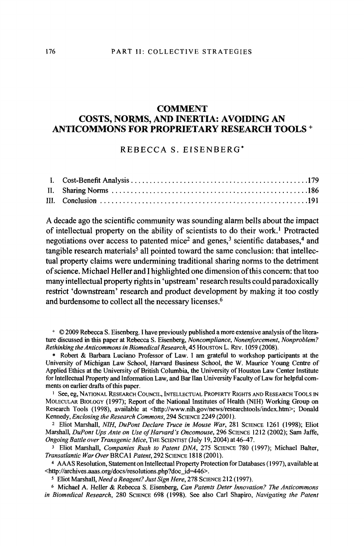#### **COMMENT COSTS, NORMS, AND INERTIA: AVOIDING AN ANTICOMMONS FOR PROPRIETARY RESEARCH TOOLS+**

#### REBECCA S. EISENBERG\*

A decade ago the scientific community was sounding alann bells about the impact of intellectual property on the ability of scientists to do their work.<sup>1</sup> Protracted negotiations over access to patented mice<sup>2</sup> and genes,<sup>3</sup> scientific databases,<sup>4</sup> and  $t$ angible research materials<sup>5</sup> all pointed toward the same conclusion: that intellectual property claims were undermining traditional sharing norms to the detriment of science. Michael Heller and I highlighted one dimension of this concern: that too many intellectual property rights in 'upstream' research results could paradoxically restrict 'downstream' research and product development by making it too costly and burdensome to collect all the necessary licenses.<sup>6</sup>

+ © 2009 Rebecca S. Eisenberg. I have previously published a more extensive analysis of the literature discussed in this paper at Rebecca S. Eisenberg, *Noncompliance, Nonenforcement, Nonproblem? Rethinking theAnticommons in Biomedical Research,* 45 HOUSTON L. REv. 1059 (2008).

\* Robert & Barbara Luciano Professor of Law. I am grateful to workshop participants at the University of Michigan Law School, Harvard Business School, the W. Maurice Young Centre of Applied Ethics at the University of British Columbia, the University of Houston Law Center Institute for Intellectual Property and Information Law, and Bar Han University Faculty of Law for helpful comments on earlier drafts of this paper.

<sup>1</sup> See, eg, National Research Council, Intellectual Property Rights and Research Tools in MOLECULAR BIOLOGY (l 997); Report of the National Institutes of Health (NIH) Working Group on Research Tools (1998), available at <http://www.nih.gov/news/researchtools/index.htm>; Donald Kennedy, *Enclosing the Research Commons*, 294 SCIENCE 2249 (2001).

<sup>2</sup>Eliot Marshall, *NIH, DuPont Declare Truce in Mouse War,* 281 SCIENCE 1261 (1998); Eliot Marshall, *DuPont Ups Ante on Use of Harvard's Oncomouse,* 296 SCIENCE 1212 (2002); Sam Jaffe, *Ongoing Battle over Transgenic Mice*, THE SCIENTIST (July 19, 2004) at 46-47.

<sup>3</sup>Eliot Marshall, *Companies Rush to Patent DNA,* 275 SCIENCE 780 (1997); Michael Balter, *Transatlantic War Over* BRCAl *Patent,* 292 SCIENCE 1818 (2001 ).

<sup>4</sup>AAAS Resolution, Statement on Intellectual Property Protection for Databases ( 1997), available at <http://archives.aaas.org/docs/resolutions.php?doc\_id=446>.

*5* Eliot Marshall, *Need a Reagent? Just Sign Here,* 278 SCIENCE 212 (1997).

<sup>6</sup>Michael A. Heller & Rebecca S. Eisenberg, *Can Patents Deter Innovation? The Anticommons in Biomedical Research,* 280 SCIENCE 698 (1998). See also Carl Shapiro, *Navigating the Patent*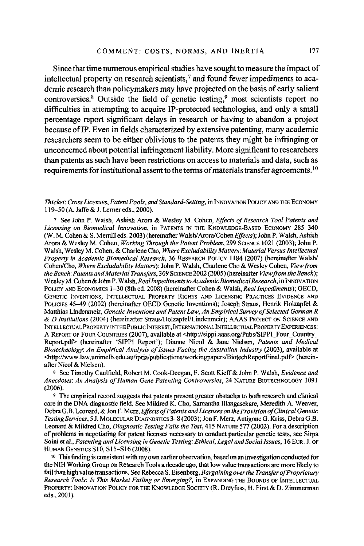Since that time numerous empirical studies have sought to measure the impact of intellectual property on research scientists, <sup>7</sup>and found fewer impediments to academic research than policymakers may have projected on the basis of early salient controversies.<sup>8</sup> Outside the field of genetic testing,<sup>9</sup> most scientists report no difficulties in attempting to acquire IP-protected technologies, and only a small percentage report significant delays in research or having to abandon a project because ofIP. Even in fields characterized by extensive patenting, many academic researchers seem to be either oblivious to the patents they might be infringing or unconcerned about potential infringement liability. More significant to researchers than patents as such have been restrictions on access to materials and data, such as requirements for institutional assent to the terms of materials transfer agreements.  $10$ 

#### *Thicket: Cross Licenses, Patent Pools, and Standard-Setting,* in INNOVATION POLICY AND THE ECONOMY 119-50 (A. Jaffe & J. Lerner eds., 2000).

<sup>7</sup>See John P. Walsh, Ashish Arora & Wesley M. Cohen, *Effects of Research Tool Patents and Licensing on Biomedical Innovation,* in PATENTS IN THE KNOWLEDGE-BASED ECONOMY 285-340 (W. M. Cohen & S. Merrill eds. 2003) (hereinafter Walsh/ Arora/Cohen *~ffects);* John P. Walsh, Ashish Arora & Wesley M. Cohen, *Working Through the Patent Problem,* 299 SCIENCE 1021 (2003); John P. Walsh, Wesley M. Cohen, & Charlene Cho, *Where Excludability Matters: Material Versus Intellectual Property in Academic Biomedical Research,* 36 RESEARCH POLICY 1184 (2007) (hereinafter Walsh/ Cohen/Cho, *Where Excludability Matters);* John P. Walsh, Charlene Cho & Wesley Cohen, *View from the Bench: Patents and Material Transfers,* 309 SCIENCE 2002 (2005) (hereinafter *View from the Bench);*  Wesley M. Cohen& John P. Walsh, *Real Impediments to Academic Biomedical Research,* in INNOVATION POLICY AND ECONOMICS 1-30 (8th ed. 2008) (hereinafter Cohen & Walsh, *Real Impediments);* OECD, GENETIC INVENTIONS, INTELLECTUAL PROPERTY RIGHTS AND LICENSING PRACTICES EVIDENCE AND POLICIES 45-49 (2002) (hereinafter OECD Genetic Inventions); Joseph Straus, Henrik Holzapfel & Matthias Lindenrneir, *Genetic Inventions and Patent Law, An Empirical Survey of Selected German R & D Institutions* (2004) (hereinafter Straus/Holzapfel/Lindenmeir); AAAS PROJECT ON SCIENCE AND INTELLECTUAL PROPERTY INTHEPUBLIC INTEREST, INTERNATIONAL INTELLECTUAL PROPERTY EXPERIENCES: A REPORT OF FOUR COUNTRIES (2007), available at <http://sippi.aaas.org/Pubs/SIPPI\_Four\_Country\_ Report.pdf> (hereinafter 'SIPP! Report'); Dianne Nicol & Jane Nielsen, *Patents and Medical Biotechnology: An Empirical Analysis of Issues Facing the Australian Industry (2003), available at* <http://www.law.unimelb.edu.au/ipria/publications/workingpapers/BiotechReportFinal.pdf> (hereinafter Nicol & Nielsen).

s See Timothy Caulfield, Robert M. Cook-Deegan, F. Scott Kieff & John P. Walsh, *Evidence and Anecdotes: An Analysis of Human Gene Patenting Controversies,* 24 NATURE BIOTECHNOLOGY I 09 I (2006).

<sup>9</sup>The empirical record suggests that patents present greater obstacles to both research and clinical care in the DNA diagnostic field. See Mildred K. Cho, Samantha Illangasekare, Meredith A. Weaver, Debra G .B. Leonard, & Jon F. Merz, *Effects of Patents and Licenses on the Provision of Clinical Genetic Testing Services, 51.* MOLECULAR DIAGNOSTICS 3-8 (2003); Jon F. Merz, Antigone G. Kriss, Debra G.B. Leonard & Mildred Cho, *Diagnostic Testing Fails the Test,* 415 NATURE 577 (2002). For a description of problems in negotiating for patent licenses necessary to conduct particular genetic tests, see Sirpa Soini et al., *Patenting and Licensing in Genetic Testing: Ethical, Legal and Social Issues,* 16 EUR. J. OF HUMAN GENETICS S10, S15–S16 (2008).

 $10$  This finding is consistent with my own earlier observation, based on an investigation conducted for the NIH Working Group on Research Tools a decade ago, that low value transactions are more likely to fail than high value transactions. See Rebecca S. Eisenberg, *Bargaining over the Transfer of Proprietary Research Tools: Is This Market Failing or Emerging?,* in EXPANDING THE BOUNDS OF INTELLECTUAL PROPERTY: INNOVATION POLICY FOR THE KNOWLEDGE SOCIETY (R. Dreyfuss, H. First & D. Zimmerman eds., 2001).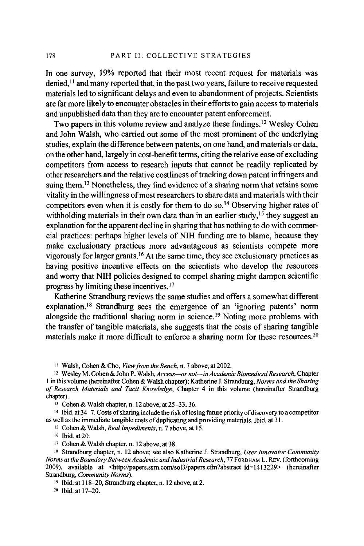In one survey, 19% reported that their most recent request for materials was denied, 11 and many reported that, in the past two years, failure to receive requested materials led to significant delays and even to abandonment of projects. Scientists are far more likely to encounter obstacles in their efforts to gain access to materials and unpublished data than they are to encounter patent enforcement.

Two papers in this volume review and analyze these findings. 12 Wesley Cohen and John Walsh, who carried out some of the most prominent of the underlying studies, explain the difference between patents, on one hand, and materials or data, on the other hand, largely in cost-benefit terms, citing the relative ease of excluding competitors from access to research inputs that cannot be readily replicated by other researchers and the relative costliness of tracking down patent infringers and suing them.<sup>13</sup> Nonetheless, they find evidence of a sharing norm that retains some vitality in the willingness of most researchers to share data and materials with their competitors even when it is costly for them to do so. 14 Observing higher rates of withholding materials in their own data than in an earlier study,  $15$  they suggest an explanation for the apparent decline in sharing that has nothing to do with commercial practices: perhaps higher levels of NIH funding are to blame, because they make. exclusionary practices more advantageous as scientists compete more vigorously for larger grants. 16 At the same time, they see exclusionary practices as having positive incentive effects on the scientists who develop the resources and worry that NIH policies designed to compel sharing might dampen scientific progress by limiting these incentives. <sup>17</sup>

Katherine Strandburg reviews the same studies and offers a somewhat different explanation.<sup>18</sup> Strandburg sees the emergence of an 'ignoring patents' norm alongside the traditional sharing norm in science.<sup>19</sup> Noting more problems with the transfer of tangible materials, she suggests that the costs of sharing tangible materials make it more difficult to enforce a sharing norm for these resources.<sup>20</sup>

11 Walsh, Cohen & Cho, View *from the Bench,* n. 7 above, at 2002.

12 Wesley M. Cohen & John P. Walsh, *Access-or not-in Academic Biomedical Research,* Chapter I in this volume (hereinafter Cohen & Walsh chapter); Katherine J. Strandburg, *Norms and the Sharing qf Research Materials and Tacit Knowledge,* Chapter 4 in this volume (hereinafter Strandburg chapter).

13 Cohen & Walsh chapter, n. 12 above, at 25-33, 36.

14 Ibid. at 34-7. Costs of sharing include the risk oflosing future priority of discovery to a competitor as well as the immediate tangible costs of duplicating and providing materials. Ibid. at 31. 15 Cohen & Walsh, *Real Impediments,* n. 7 above, at 15.

16 Ibid. at 20.

17 Cohen & Walsh chapter, n. 12 above, at 38.

18 Strandburg chapter, n. 12 above; see also Katherine J. Strandburg, *User Innovator Community Norms at the Boundary Between Academic and Industrial Research,* 77 FORDHAM L. REV. (forthcoming 2009), available at <http://papers.ssrn.com/sol3/papers.cfin?abstract\_id= 1413229> (hereinafter Strandburg, *Community Norms).* 

19 Ibid. at 118-20, Strandburg chapter, n. 12 above, at 2.

20 Ibid. at 17-20.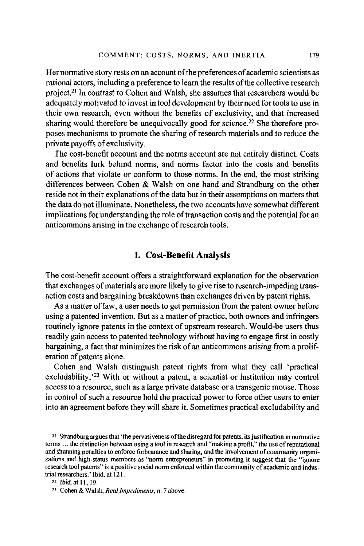Her normative story rests on an account of the preferences of academic scientists as rational actors, including a preference to learn the results of the collective research project. 21 In contrast to Cohen and Walsh, she assumes that researchers would be adequately motivated to invest in tool development by their need for tools to use in their own research, even without the benefits of exclusivity, and that increased sharing would therefore be unequivocally good for science.<sup>22</sup> She therefore proposes mechanisms to promote the sharing of research materials and to reduce the private payoffs of exclusivity.

The cost-benefit account and the norms account are not entirely distinct. Costs and benefits lurk behind norms, and norms factor into the costs and benefits of actions that violate or conform to those norms. In the end, the most striking differences between Cohen & Walsh on one hand and Strandburg on the other reside not in their explanations of the data but in their assumptions on matters that the data do not illuminate. Nonetheless, the two accounts have somewhat different implications for understanding the role of transaction costs and the potential for an anticommons arising in the exchange ofresearch tools.

#### **I. Cost-Benefit Analysis**

The cost-benefit account offers a straightforward explanation for the observation that exchanges of materials are more likely to give rise to research-impeding transaction costs and bargaining breakdowns than exchanges driven by patent rights.

As a matter of law, a user needs to get permission from the patent owner before using a patented invention. But as a matter of practice, both owners and infringers routinely ignore patents in the context of upstream research. Would-be users thus readily gain access to patented technology without having to engage first in costly bargaining, a fact that minimizes the risk of an anticommons arising from a proliferation of patents alone.

Cohen and Walsh distinguish patent rights from what they call 'practical excludability.<sup>23</sup> With or without a patent, a scientist or institution may control access to a resource, such as a large private database or a transgenic mouse. Those in control of such a resource hold the practical power to force other users to enter into an agreement before they will share it. Sometimes practical excludability and

21 Strandburg argues that 'the pervasiveness of the disregard for patents, its justification in normative terms ... the distinction between using a tool in research and "making a profit," the use of reputational and shunning penalties to enforce forbearance and sharing, and the involvement of community organizations and high-status members as "norm entrepreneurs" in promoting it suggest that the "ignore research tool patents" is a positive social norm enforced within the community of academic and industrial researchers.' Ibid. at 121.

22 Ibid. at I I, 19.

<sup>23</sup> Cohen & Walsh, *Real Impediments,* n. 7 above.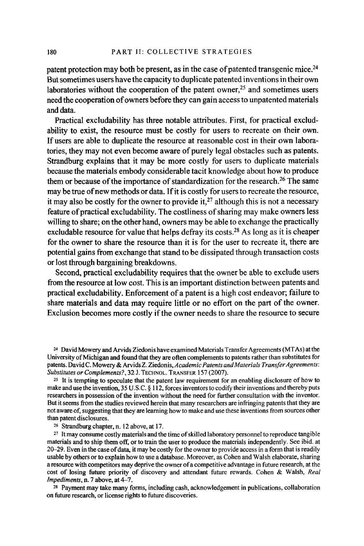patent protection may both be present, as in the case of patented transgenic mice. 24 But sometimes users have the capacity to duplicate patented inventions in their own laboratories without the cooperation of the patent owner.<sup>25</sup> and sometimes users need the cooperation of owners before they can gain access to unpatented materials and data.

Practical excludability has three notable attributes. First, for practical excludability to exist, the resource must be costly for users to recreate on their own. If users are able to duplicate the resource at reasonable cost in their own laboratories, they may not even become aware of purely legal obstacles such as patents. Strandburg explains that it may be more costly for users to duplicate materials because the materials embody considerable tacit knowledge about how to produce them or because of the importance of standardization for the research. 26 The same may be true of new methods or data. If it is costly for users to recreate the resource, it may also be costly for the owner to provide it, $27$  although this is not a necessary feature of practical excludability. The costliness of sharing may make owners less willing to share; on the other hand, owners may be able to exchange the practically excludable resource for value that helps defray its costs.<sup>28</sup> As long as it is cheaper for the owner to share the resource than it is for the user to recreate it, there are potential gains from exchange that stand to be dissipated through transaction costs or lost through bargaining breakdowns.

Second, practical excludability requires that the owner be able to exclude users from the resource at low cost. This is an important distinction between patents and practical excludability. Enforcement of a patent is a high cost endeavor; failure to share materials and data may require little or no effort on the part of the owner. Exclusion becomes more costly if the owner needs to share the resource to secure

<sup>24</sup> David Mowery and Arvids Ziedonis have examined Materials Transfer Agreements (MTAs) at the University of Michigan and found that they are often complements to patents rather than substitutes for patents. David C. Mowery & Arvids Z. Ziedonis, Academic Patents and Materials Transfer Agreements: *Substitutes or Complements?,* 32 J. TECHNOL. TRANSFER 157 (2007).

<sup>25</sup> It is tempting to speculate that the patent law requirement for an enabling disclosure of how to make and use the invention, 35 U .S.C. § 112, forces inventors to codify their inventions and thereby puts researchers in possession of the invention without the need for further consultation with the inventor. But it seems from the studies reviewed herein that many researchers are infringing patents that they are not aware of, suggesting that they are learning how to make and use these inventions from sources other than patent disclosures.

<sup>26</sup> Strandburg chapter, n. 12 above, at 17.<br><sup>27</sup> It may consume costly materials and the time of skilled laboratory personnel to reproduce tangible materials and to ship them off, or to train the user to produce the materials independently. See ibid. at 20-29. Even in the case of data, it may be costly for the owner to provide access in a form that is readily usable by others or to explain how to use a database. Moreover, as Cohen and Walsh elaborate, sharing a resource with competitors may deprive the owner of a competitive advantage in future research, at the cost of losing future priority of discovery and attendant future rewards. Cohen & Walsh, *Real Impediments, n. 7 above, at 4-7.* 

28 Payment may *take* many forms, including cash, acknowledgement in publications, collaboration on future research, or license rights to future discoveries.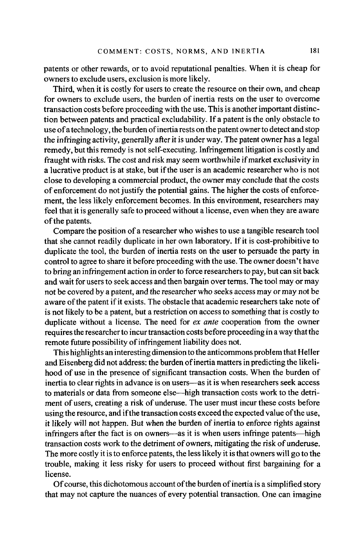patents or other rewards, or to avoid reputational penalties. When it is cheap for owners to exclude users, exclusion is more likely.

Third, when it is costly for users to create the resource on their own, and cheap for owners to exclude users, the burden of inertia rests on the user to overcome transaction costs before proceeding with the use. This is another important distinction between patents and practical excludability. If a patent is the only obstacle to use of a technology, the burden of inertia rests on the patent owner to detect and stop the infringing activity, generally after it is under way. The patent owner has a legal remedy, but this remedy is not self-executing. Infringement litigation is costly and fraught with risks. The cost and risk may seem worthwhile if market exclusivity in a lucrative product is at stake, but if the user is an academic researcher who is not close to developing a commercial product, the owner may conclude that the costs of enforcement do not justify the potential gains. The higher the costs of enforcement, the less likely enforcement becomes. In this environment, researchers may feel that it is generally safe to proceed without a license, even when they are aware of the patents.

Compare the position of a researcher who wishes to use a tangible research tool that she cannot readily duplicate in her own laboratory. If it is cost-prohibitive to duplicate the tool, the burden of inertia rests on the user to persuade the party in control to agree to share it before proceeding with the use. The owner doesn't have to bring an infringement action in order to force researchers to pay, but can sit back and wait for users to seek access and then bargain over terms. The tool may or may not be covered by a patent, and the researcher who seeks access may or may not be aware of the patent if it exists. The obstacle that academic researchers take note of is not likely to be a patent, but a restriction on access to something that is costly to duplicate without a license. The need for *ex ante* cooperation from the owner requires the researcher to incur transaction costs before proceeding in a way that the remote future possibility of infringement liability does not.

This highlights an interesting dimension to the anticommons problem that Heller and Eisenberg did not address: the burden of inertia matters in predicting the likelihood of use in the presence of significant transaction costs. When the burden of inertia to clear rights in advance is on users-as it is when researchers seek access to materials or data from someone else-high transaction costs work to the detriment of users, creating a risk of underuse. The user must incur these costs before using the resource, and if the transaction costs exceed the expected value of the use, it likely will not happen. But when the burden of inertia to enforce rights against infringers after the fact is on owners—as it is when users infringe patents—high transaction costs work to the detriment of owners, mitigating the risk of underuse. The more costly it is to enforce patents, the less likely it is that owners will go to the trouble, making it less risky for users to proceed without first bargaining for a license.

Of course, this dichotomous account of the burden of inertia is a simplified story that may not capture the nuances of every potential transaction. One can imagine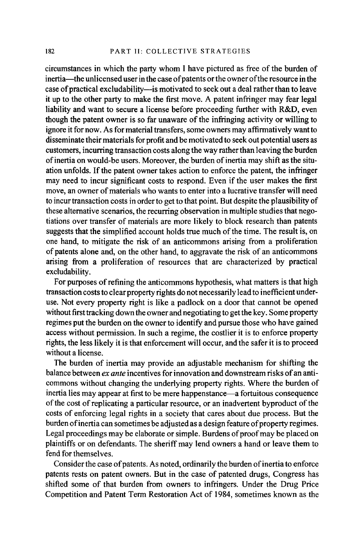circumstances in which the party whom I have pictured as free of the burden of inertia—the unlicensed user in the case of patents or the owner of the resource in the case of practical excludability—is motivated to seek out a deal rather than to leave it up to the other party to make the first move. A patent infringer may fear legal liability and want to secure a license before proceeding further with R&D, even though the patent owner is so far unaware of the infringing activity or willing to ignore it for now. As for material transfers, some owners may affirmatively wantto disseminate their materials for profit and be motivated to seek out potential users as customers, incurring transaction costs along the way rather than leaving the burden of inertia on would-be users. Moreover, the burden of inertia may shift as the situation unfolds. If the patent owner takes action to enforce the patent, the infringer may need to incur significant costs to respond. Even if the user makes the first move, an owner of materials who wants to enter into a lucrative transfer will need to incur transaction costs in order to get to that point. But despite the plausibility of these alternative scenarios, the recurring observation in multiple studies that negotiations over transfer of materials are more likely to block research than patents suggests that the simplified account holds true much of the time. The result is, on one hand, to mitigate the risk of an anticommons arising from a proliferation of patents alone and, on the other hand, to aggravate the risk of an anticommons arising from a proliferation of resources that are characterized by practical excludability.

For purposes of refining the anticommons hypothesis, what matters is that high transaction costs to clear property rights do not necessarily lead to inefficient underuse. Not every property right is like a padlock on a door that cannot be opened without first tracking down the owner and negotiating to get the key. Some property regimes put the burden on the owner to identify and pursue those who have gained access without permission. In such a regime, the costlier it is to enforce property rights, the less likely it is that enforcement will occur, and the safer it is to proceed without a license.

The burden of inertia may provide an adjustable mechanism for shifting the balance between *ex ante* incentives for innovation and downstream risks of an anticommons without changing the underlying property rights. Where the burden of inertia lies may appear at first to be mere happenstance-a fortuitous consequence of the cost ofreplicating a particular resource, or an inadvertent byproduct of the costs of enforcing legal rights in a society that cares about due process. But the burden ofinertia can sometimes be adjusted as a design feature of property regimes. Legal proceedings may be elaborate or simple. Burdens of proof may be placed on plaintiffs or on defendants. The sheriff may lend owners a hand or leave them to fend for themselves.

Consider the case of patents. As noted, ordinarily the burden of inertia to enforce patents rests on patent owners. But in the case of patented drugs, Congress has shifted some of that burden from owners to infringers. Under the Drug Price Competition and Patent Term Restoration Act of 1984, sometimes known as the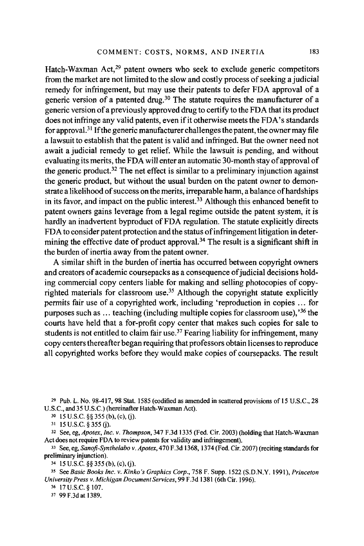Hatch-Waxman Act,29 patent owners who seek to exclude generic competitors from the market are not limited to the slow and costly process of seeking a judicial remedy for infringement, but may use their patents to defer FDA approval of a generic version of a patented drug.30 The statute requires the manufacturer of a generic version of a previously approved drug to certify to the FDA that its product does not infringe any valid patents, even if it otherwise meets the FDA's standards for approval.<sup>31</sup> If the generic manufacturer challenges the patent, the owner may file a lawsuit to establish that the patent is valid and infringed. But the owner need not await a judicial remedy to get relief. While the lawsuit is pending, and without evaluating its merits, the FDA will enter an automatic 30-month stay of approval of the generic product.<sup>32</sup> The net effect is similar to a preliminary injunction against the generic product, but without the usual burden on the patent owner to demonstrate a likelihood of success on the merits, irreparable harm, a balance of hardships in its favor, and impact on the public interest.<sup>33</sup> Although this enhanced benefit to patent owners gains leverage from a legal regime outside the patent system, it is hardly an inadvertent byproduct of FDA regulation. The statute explicitly directs FDA to consider patent protection and the status ofinfringement litigation in determining the effective date of product approval.<sup>34</sup> The result is a significant shift in the burden of inertia away from the patent owner.

A similar shift in the burden of inertia has occurred between copyright owners and creators of academic coursepacks as a consequence of judicial decisions holding commercial copy centers liable for making and selling photocopies of copyrighted materials for classroom use.<sup>35</sup> Although the copyright statute explicitly permits fair use of a copyrighted work, including 'reproduction in copies ... for purposes such as  $\dots$  teaching (including multiple copies for classroom use),<sup>36</sup> the courts have held that a for-profit copy center that makes such copies for sale to students is not entitled to claim fair use.<sup>37</sup> Fearing liability for infringement, many copy centers thereafter began requiring that professors obtain licenses to reproduce all copyrighted works before they would make copies of coursepacks. The result

29 Pub. L. No. 98-417, 98 Stat. 1585 (codified as amended in scattered provisions of 15 U.S.C., 28 U.S.C., and35 U.S.C.) (hereinafter Hatch-Waxman Act).

30 15 u.s.c. §§ 355 (b), (c), G). 31 15 u.s.c. § 355 G). 32 See, eg, *Apote.x, Inc. v. Thompson,* 347 F.3d 1335 (Fed. Cir. 2003) (holding that Hatch-Waxman Act does not require FDA to review patents for validity and infringement).

33 See, eg, *Sanoji-Synthelabo v. Apote.x,* 470 F.3d 1368, 1374 (Fed. Cir. 2007) (reciting standards for preliminary injunction).<br> $34 \quad 15 \text{ U.S.C.}$  §§ 355 (b), (c), (j).

34 15 u.s.c. §§ 355 (b), (c), G). 35 See *Basic Books Inc. v. Kinko's Graphics Corp.,* 758 F. Supp. 1522 (S.D.N.Y. 1991), *Princeton University Press v. Michigan Document Services,* 99 F .3d 1381 ( 6th Cir. 1996).

36 17U.S.C.§107.

37 99F.3dat 1389.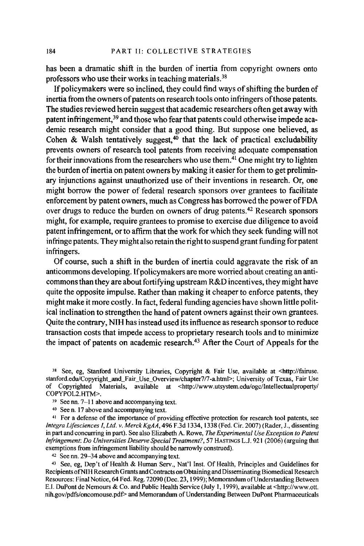has been a dramatic shift in the burden of inertia from copyright owners onto professors who use their works in teaching materials.<sup>38</sup>

If policymakers were so inclined, they could find ways of shifting the burden of inertia from the owners of patents on research tools onto infringers of those patents. The studies reviewed herein suggest that academic researchers often get away with patent infringement, 39 and those who fear that patents could otherwise impede academic research might consider that a good thing. But suppose one believed, as Cohen & Walsh tentatively suggest, $40$  that the lack of practical excludability prevents owners of research tool patents from receiving adequate compensation for their innovations from the researchers who use them.<sup>41</sup> One might try to lighten the burden of inertia on patent owners by making it easier for them to get preliminary injunctions against unauthorized use of their inventions in research. Or, one might borrow the power of federal research sponsors over grantees to facilitate enforcement by patent owners, much as Congress has borrowed the power ofFDA over drugs to reduce the burden on owners of drug patents.42 Research sponsors might, for example, require grantees to promise to exercise due diligence to avoid patent infringement, or to affirm that the work for which they seek funding will not infringe patents. They might also retain the right to suspend grant funding for patent infringers.

Of course, such a shift in the burden of inertia could aggravate the risk of an anticommons developing. If policymakers are more worried about creating an anticommons than they are about fortifying upstream R&D incentives, they might have quite the opposite impulse. Rather than making it cheaper to enforce patents, they might make it more costly. In fact, federal funding agencies have shown little political inclination to strengthen the hand of patent owners against their own grantees. Quite the contrary, **NIH** has instead used its influence as research sponsor to reduce transaction costs that impede access to proprietary research tools and to minimize the impact of patents on academic research.43 After the Court of Appeals for the

38 See, eg, Stanford University Libraries, Copyright & Fair Use, available at <http://fairuse. stanford.edu/Copyright\_and\_Fair\_Use\_Overview/chapter7/7-a.html>; University of Texas, Fair Use of Copyrighted Materials, available at <http://www.utsystem.edu/ogc/lntellectualproperty/ COPYPOL2.HTM>.

<sup>39</sup> See nn. 7-11 above and accompanying text.<br><sup>40</sup> See n. 17 above and accompanying text.<br><sup>41</sup> For a defense of the importance of providing effective protection for research tool patents, see *lntegra Lifesciences I, Ltd. v. Merck KgAA,* 496 F.3d 1334, 1338 (Fed. Cir. 2007) (Rader, J., dissenting in part and concurring in part). See also Elizabeth A. Rowe, *The Experimental Use Exception to Patent Infringement: Do Universities Deserve Special Treatment?, 57 HASTINGS L.J. 921 (2006) (arguing that exemptions from infringement liability should be narrowly construed).* 

<sup>42</sup> See nn. 29-34 above and accompanying text.<br><sup>43</sup> See, eg, Dep't of Health & Human Serv., Nat'l Inst. Of Health, Principles and Guidelines for Recipients ofNIH Research Grants and Contracts on Obtaining and Disseminating Biomedical Research Resources: Final Notice, 64 Fed. Reg. 72090 (Dec. 23, 1999); Memorandum of Understanding Between E.I. DuPont de Nemours & Co. and Public Health Service (July I, 1999), available at <http://www.ott. nih.gov/pdfs/oncomouse.pdt> and Memorandum of Understanding Between DuPont Pharmaceuticals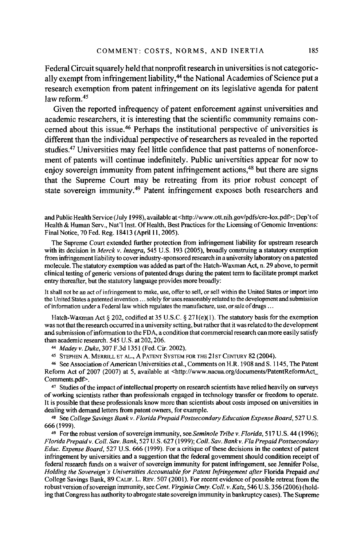Federal Circuit squarely held that nonprofit research in universities is not categorically exempt from infringement liability,<sup>44</sup> the National Academies of Science put a research exemption from patent infringement on its legislative agenda for patent law reform  $45$ 

Given the reported infrequency of patent enforcement against universities and academic researchers, it is interesting that the scientific community remains concerned about this issue.46 Perhaps the institutional perspective of universities is different than the individual perspective ofresearchers as revealed in the reported studies.<sup>47</sup> Universities may feel little confidence that past patterns of nonenforcement of patents will continue indefinitely. Public universities appear for now to enjoy sovereign immunity from patent infringement actions.<sup>48</sup> but there are signs that the Supreme Court may be retreating from its prior robust concept of state sovereign immunity.<sup>49</sup> Patent infringement exposes both researchers and

and Public Health Service (July 1998), available at <http://www.ott.nih.gov/pdfs/cre-lox.pdf>; Dep'tof Health & Human Serv., Nat'! Inst. Of Health, Best Practices for the Licensing of Genomic Inventions: Final Notice, 70 Fed. Reg. 18413 (April 11, 2005).

The Supreme Court extended further protection from infringement liability for upstream research with its decision in *Merck* v. *Integra,* 545 U.S. 193 (2005), broadly construing a statutory exemption from infringement liability to cover industry-sponsored research in a university laboratory on a patented molecule. The statutory exemption was added as part of the Hatch-Waxman Act, n. 29 above, to permit clinical testing of generic versions of patented drugs during the patent term to facilitate prompt market entry thereafter, but the statutory language provides more broadly:

It shall not be an act of infringement to make, use, offer to sell, or sell within the United States or import into the United States a patented invention ... solely for uses reasonably related to the development and submission of information under a Federal law which regulates the manufacture, use, or sale of drugs ...

Hatch-Waxman Act § 202, codified at 35 U.S.C. § 271(e)(1). The statutory basis for the exemption was not that the research occurred in a university setting, but rather that it was related to the development and submission of information to the FDA, a condition that commercial research can more easily satisfy than academic research. 545 U.S. at 202,206.

<sup>44</sup>*Madey v. Duke,* 307 F.3d 1351 (Fed. Cir. 2002). 45 STEPHEN A. MERRILL ET AL., A PATENT SYSTEM FOR THE2lsTCENTURY 82 (2004).

46 See Association of American Universities et al., Comments on H.R. 1908 and S. 1145, The Patent Reform Act of 2007 (2007) at 5, available at <http://www.nacua.org/documents/PatentReformAct\_ Comments.pdf>.

<sup>47</sup> Studies of the impact of intellectual property on research scientists have relied heavily on surveys of working scientists rather than professionals engaged in technology transfer or freedom to operate. It is possible that these professionals know more than scientists about costs imposed on universities in dealing with demand letters from patent owners, for example.

48 See College Savings Bank v. Florida Prepaid Postsecondary Education Expense Board, 527 U.S. 666 (1999).

49 For the robust version of sovereign immunity, see *Seminole Tribe v. Florida,* 517 U.S. 44 ( 1996); *Florida Prepaid v. Coll. Sav. Bank,* 527 U.S. 627 (1999); *Coll. Sav. Bankv. Fla Prepaid Postsecondary Educ. Expense Board,* 527 U.S. 666 (1999). For a critique of these decisions in the context of patent infringement by universities and a suggestion that the federal government should condition receipt of federal research funds on a waiver of sovereign immunity for patent infringement, see Jennifer Poise, *Holding the Sovereign's Universities Accountable for Patent Infringement after* Florida Prepaid *and*  College Savings Bank, 89 CALIF. L. REv. 507 (2001). For recent evidence of possible retreat from the robust version of sovereign immunity, see *Cent. Virginia Cmty. Coll. v.Katz,* 546 U.S. 356 (2006) (holding that Congress has authority to abrogate state sovereign immunity in bankruptcy cases). The Supreme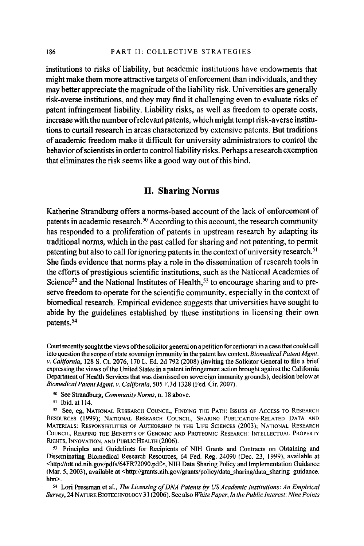institutions to risks of liability, but academic institutions have endowments that might make them more attractive targets of enforcement than individuals, and they may better appreciate the magnitude of the liability risk. Universities are generally risk-averse institutions, and they may find it challenging even to evaluate risks of patent infringement liability. Liability risks, as well as freedom to operate costs, increase with the number of relevant patents, which might tempt risk-averse institutions to curtail research in areas characterized by extensive patents. But traditions of academic freedom make it difficult for university administrators to control the behavior of scientists in order to control liability risks. Perhaps a research exemption that eliminates the risk seems like a good way out of this bind.

#### **II. Sharing Norms**

Katherine Strandburg offers a norms-based account of the lack of enforcement of patents in academic research. 50 According to this account, the research community has responded to a proliferation of patents in upstream research by adapting its traditional norms, which in the past called for sharing and not patenting, to permit patenting but also to call for ignoring patents in the context of university research.<sup>51</sup> She finds evidence that norms play a role in the dissemination of research tools in the efforts of prestigious scientific institutions, such as the National Academies of Science<sup>52</sup> and the National Institutes of Health,<sup>53</sup> to encourage sharing and to preserve freedom to operate for the scientific community, especially in the context of biomedical research. Empirical evidence suggests that universities have sought to abide by the guidelines established by these institutions in licensing their own patents.54

50 See Strandburg, *Community Norms,* n. 18 above.

Disseminating Biomedical Research Resources, 64 Fed. Reg. 24090 (Dec. 23, 1999), available at <http://ott.od.nih.gov/pdfs/64FR72090.pdt>, NIH Data Sharing Policy and Implementation Guidance (Mar. 5, 2003), available at <http://grants.nih.gov/grants/policy/data\_sharing/data\_sharing\_guidance. htm>.

<sup>5</sup>4 Lori Pressman et al., *The Licensing of DNA Patents by US Academic Institutions: An Empirical Survey,* 24 NATURE BIOTECHNOLOGY 31 (2006). See also *White Paper, In the Public Interest: Nine Points* 

Court recently sought the views of the solicitor general on a petition for certiorari in a case that could call into question the scope of state sovereign immunity in the patent law context. *Biomedical Patent Mgmt. v. California,* 128 S. Ct. 2076, 170 L. Ed. 2d 792 (2008) (inviting the Solicitor General to file a brief expressing the views of the United States in a patent infringement action brought against the California Department of Health Services that was dismissed on sovereign immunity grounds), decision below at *Biomedical Patent Mgmt. v. Cal/fomia,* 505 F.3d 1328 (Fed. Cir. 2007).

<sup>52</sup> See, eg, NATIONAL RESEARCH COUNCIL, FINDING THE PATH: ISSUES OF ACCESS TO RESEARCH RESOURCES (1999); NATIONAL RESEARCH COUNCIL, SHARING PUBLICATION-RELATED DATA AND MATERIALS: RESPONSIBILITIES OF AUTHORSHIP IN THE LIFE SCIENCES (2003); NATIONAL RESEARCH COUNCIL, REAPING THE BENEFITS OF GENOMIC AND PROTEOMIC RESEARCH: INTELLECTUAL PROPERTY RIGHTS, INNOVATION, AND PUBLIC HEALTH (2006).<br><sup>53</sup> Principles and Guidelines for Recipients of NIH Grants and Contracts on Obtaining and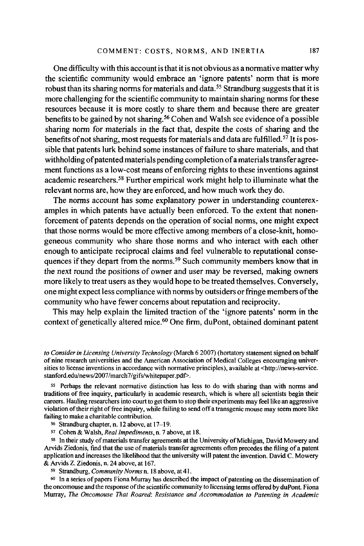One difficulty with this account is that it is not obvious as a normative matter why the scientific community would embrace an 'ignore patents' norm that is more robust than its sharing norms for materials and data. 55 Strandburg suggests that it is more challenging for the scientific community to maintain sharing norms for these resources because it is more costly to share them and because there are greater benefits to be gained by not sharing.<sup>56</sup> Cohen and Walsh see evidence of a possible sharing norm for materials in the fact that, despite the costs of sharing and the benefits of not sharing, most requests for materials and data are fulfilled.<sup>57</sup> It is possible that patents lurk behind some instances of failure to share materials, and that withholding of patented materials pending completion of a materials transfer agreement functions as a low-cost means of enforcing rights to these inventions against academic researchers. 58 Further empirical work might help to illuminate what the relevant norms are, how they are enforced, and how much work they do.

The norms account has some explanatory power in understanding counterexamples in which patents have actually been enforced. To the extent that nonenforcement of patents depends on the operation of social norms, one might expect that those norms would be more effective among members of a close-knit, homogeneous community who share those norms and who interact with each other enough to anticipate reciprocal claims and feel vulnerable to reputational consequences if they depart from the norms.<sup>59</sup> Such community members know that in the next round the positions of owner and user may be reversed, making owners more likely to treat users as they would hope to be treated themselves. Conversely, one might expect less compliance with norms by outsiders or fringe members of the community who have fewer concerns about reputation and reciprocity.

This may help explain the limited traction of the 'ignore patents' norm in the context of genetically altered mice.<sup>60</sup> One firm, duPont, obtained dominant patent

*to Consider in Licensing University Technology* (March 6 2007) (hortatory statement signed on behalf of nine research universities and the American Association of Medical Colleges encouraging universities to license inventions in accordance with normative principles), available at <http://news-service. stanford.edu/news/2007/march7/gifs/whitepaper.pdf>.

55 Perhaps the relevant normative distinction has less to do with sharing than with norms and traditions of free inquiry, particularly in academic research, which is where all scientists begin their careers. Hauling researchers into court to get them to stop their experiments may feel like an aggressive violation of their right of free inquiry, while failing to send off a transgenic mouse may seem more like failing to make a charitable contribution.

56 Strandburg chapter, n. 12 above, at I 7-19.

<sup>5</sup>7 Cohen & Walsh, *Real Impediments,* n. 7 above, at 18.

58 In their study of materials transfer agreements at the University of Michigan, David Mowery and Arvids Ziedonis, find that the use of materials transfer agreements often precedes the filing of a patent application and increases the likelihood that the university will patent the invention. David C. Mowery & Arvids Z. Ziedonis, n. 24 above, at 167.

59 Strandburg, *Community Norms* n. 18 above, at 41.

60 In a series of papers Fiona Murray has described the impact of patenting on the dissemination of the oncomouse and the response of the scientific conununity to licensing terms offered byduPont. Fiona Murray, *The Oncomouse That Roared: Resistance and Accommodation to Patenting in Academic*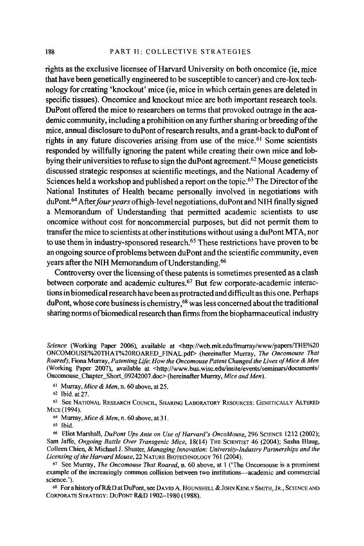rights as the exclusive licensee of Harvard University on both oncomice (ie, mice that have been genetically engineered to be susceptible to cancer) and ere-lox technology for creating 'knockout' mice (ie, mice in which certain genes are deleted in specific tissues). Oncomice and knockout mice are both important research tools. DuPont offered the mice to researchers on terms that provoked outrage in the academic community, including a prohibition on any further sharing or breeding of the mice, annual disclosure to duPont of research results, and a grant-back to duPont of rights in any future discoveries arising from use of the mice.<sup>61</sup> Some scientists responded by willfully ignoring the patent while creating their own mice and lobbying their universities to refuse to sign the duPont agreement. 62 Mouse geneticists discussed strategic responses at scientific meetings, and the National Academy of Sciences held a workshop and published a report on the topic.<sup>63</sup> The Director of the National Institutes of Health became personally involved in negotiations with duPont. 64 After *four years* ofhigh-level negotiations, duPont and NIH finally signed a Memorandum of Understanding that permitted academic scientists to use oncomice without cost for noncommercial purposes, but did not permit them to transfer the mice to scientists at other institutions without using a duPont MT A, nor to use them in industry-sponsored research.65 These restrictions have proven to be an ongoing source of problems between duPont and the scientific community, even years after the NIH Memorandum of Understanding. 66

Controversy over the licensing of these patents is sometimes presented as a clash between corporate and academic cultures.<sup>67</sup> But few corporate-academic interactions in biomedical research have been as protracted and difficult as this one. Perhaps duPont, whose core business is chemistry , 68 was less concerned about the traditional sharing norms ofbiomedical research than firms from the biopharmaceutical industry

*Science* (Working Paper 2006), available at <http://web.mit.edu/fmurray/www/papersffHE%20 ONCOMOUSE%20THAT%20ROARED\_FINAL.pdf> (hereinafter Murray, *The Oncomouse That Roared*); Fiona Murray, *Patenting Life: How the Oncomouse Patent Changed the Lives of Mice & Men* (Working Paper 2007), available at <http://www.bus.wisc.edu/insite/events/seminars/documents/ Oncomouse\_Chapter\_Short\_09242007.doc> (hereinafter Murray, *Mice and Men).* 

<sup>61</sup> Murray, *Mice & Men*, n. 60 above, at 25.<br><sup>62</sup> Ibid. at 27.<br><sup>63</sup> See NATIONAL RESEARCH COUNCIL. SHARING LABORATORY RESOURCES: GENETICALLY ALTERED MICE (1994).

64 Murray, *Mice & Men,* n. 60 above, at 3 I.

66 Eliot Marshall, *DuPont Ups Ante on Use of Harvard's OncoMouse,* 296 SCIENCE 1212 (2002); Sam Jaffe, *Ongoing Battle Over Transgenic Mice,* 18(14) THE SCIENTIST 46 (2004); Sasha Blaug, Colleen Chien, & Michael J. Shuster, *Managing Innovation: University-Industry Partnerships and the licensing of the Harvard Mouse,* 22 NATURE BIOTECHNOLOGY 761 (2004). 67 See Murray, *The Oncomouse That Roared,* n. 60 above, at I ('The Oncomouse is a prominent

example of the increasingly common collision between two institutions—academic and commercial science.').

68 Fora history ofR&D at DuPont, see DAVID A. HOUNSHELL & JOHN KENLY SMITH, JR., SCIENCE AND CORPORATE STRATEGY: DUPONT R&D 1902-1980 (1988).

<sup>65</sup> Ibid.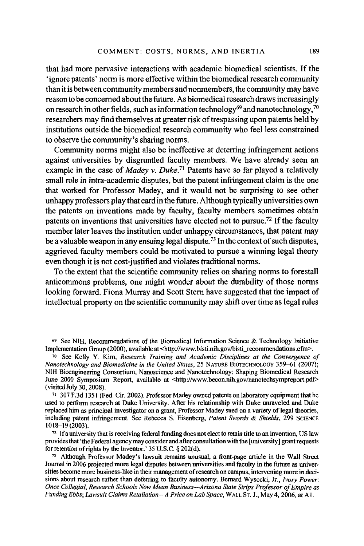that had more pervasive interactions with academic biomedical scientists. If the 'ignore patents' norm is more effective within the biomedical research community than it is between community members and nonmembers, the community may have reason to be concerned about the future. As biomedical research draws increasingly on research in other fields, such as information technology<sup>69</sup> and nanotechnology,  $^{70}$ researchers may find themselves at greater risk of trespassing upon patents held by institutions outside the biomedical research community who feel less constrained to observe the community's sharing norms.

Community norms might also be ineffective at deterring infringement actions against universities by disgruntled faculty members. We have already seen an example in the case of *Madey v. Duke*.<sup>71</sup> Patents have so far played a relatively small role in intra-academic disputes, but the patent infringement claim is the one that worked for Professor Madey, and it would not be surprising to see other unhappy professors play that card in the future. Although typically universities own the patents on inventions made by faculty, faculty members sometimes obtain patents on inventions that universities have elected not to pursue.<sup>72</sup> If the faculty member later leaves the institution under unhappy circumstances, that patent may be a valuable weapon in any ensuing legal dispute.<sup>73</sup> In the context of such disputes, aggrieved faculty members could be motivated to pursue a winning legal theory even though it is not cost-justified and violates traditional norms.

To the extent that the scientific community relies on sharing norms to forestall anticommons problems, one might wonder about the durability of those norms looking forward. Fiona Murray and Scott Stem have suggested that the impact of intellectual property on the scientific community may shift over time as legal rules

<sup>6</sup>9 See NIH, Recommendations of the Biomedical Information Science & Technology Initiative Implementation Group (2000), available at <http://www.bisti.nih.gov/bisti\_recommendations.cfm>.

*<sup>10</sup>*See Kelly Y. Kim, *Research Training and Academic Disciplines at the Convergence of Nanotechnology and Biomedicine in the United States,* 25 NATURE BIOTECHNOLOGY 359–61 (2007); NIH Bioengineering Consortium, Nanoscience and Nanotechnology: Shaping Biomedical Research June 2000 Symposium Report, available at <http://www.becon.nih.gov/nanotechsympreport.pdf>(visited July 30, 2008).

 $v_1$  307 F.3d 1351 (Fed. Cir. 2002). Professor Madey owned patents on laboratory equipment that he used to perform research at Duke University. After his relationship with Duke unraveled and Duke replaced him as principal investigator on a grant, Professor Matley sued on a variety of legal theories, including patent infringement. See Rebecca S. Eisenberg, *Patent Swords & Shields,* 299 SCIENCE 1018-19 (2003).

 $72$  If a university that is receiving federal funding does not elect to retain title to an invention. US law provides that 'the Federal agency may consider and after consultation with the [university] grant requests for retention of rights by the inventor.' 35 U.S.C. § 202(d).

 $73$  Although Professor Madey's lawsuit remains unusual, a front-page article in the Wall Street Journal in 2006 projected more legal disputes between universities and faculty in the future as universities become more business-like in their management ofresearch on campus, intervening more in decisions about research rather than deferring to faculty autonomy. Bernard Wysocki, Jr., *Ivory Power: Once Collegial, Research Schools Now Mean Business-Arizona State Strips Professor of Empire as Funding Ebbs; Lawsuit Claims Retaliation-A Price on Lab Space,* WALL ST. J., May 4, 2006, at Al.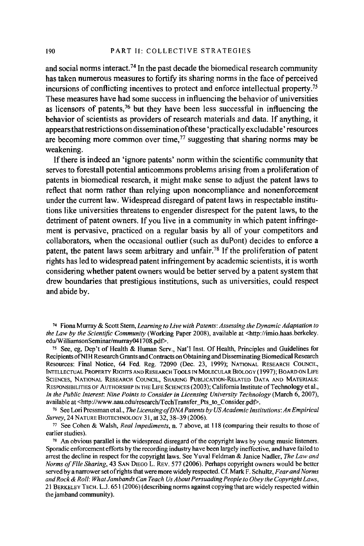and social norms interact.<sup>74</sup> In the past decade the biomedical research community has taken numerous measures to fortify its sharing norms in the face of perceived incursions of conflicting incentives to protect and enforce intellectual property. 75 These measures have had some success in influencing the behavior of universities as licensors of patents, 76 but they have been less successful in influencing the behavior of scientists as providers of research materials and data. If anything, it appears that restrictions on dissemination of these 'practically excludable' resources are becoming more common over time,  $\frac{7}{7}$  suggesting that sharing norms may be weakening.

If there is indeed an 'ignore patents' norm within the scientific community that serves to forestall potential anticommons problems arising from a proliferation of patents in biomedical research, it might make sense to adjust the patent laws to reflect that norm rather than relying upon noncompliance and nonenforcement under the current law. Widespread disregard of patent laws in respectable institutions like universities threatens to engender disrespect for the patent laws, to the detriment of patent owners. If you live in a community in which patent infringement is pervasive, practiced on a regular basis by all of your competitors and collaborators, when the occasional outlier (such as duPont) decides to enforce a patent, the patent laws seem arbitrary and unfair.<sup>78</sup> If the proliferation of patent rights has led to widespread patent infringement by academic scientists, it is worth considering whether patent owners would be better served by a patent system that drew boundaries that prestigious institutions, such as universities, could respect and abide by.

<sup>75</sup> See, eg, Dep't of Health & Human Serv., Nat'l Inst. Of Health, Principles and Guidelines for Recipients ofNIH Research Grants and Contracts on Obtaining and Disseminating Biomedical Research Resources: Final Notice, 64 Fed. Reg. 72090 (Dec. 23, 1999); NATIONAL RESEARCH COUNCIL, INTELLECTUAL PROPERTY RIGHTS AND RESEARCH TOOLS IN MOLECULAR BIOLOGY ( 1997); BOARD ON LIFE SCIENCES, NATIONAL RESEARCH COUNCIL, SHARING PUBLICATION-RELATED DATA AND MATERIALS: RESPONSIBILITIES OF AUTHORSHIP IN THE LIFE SCIENCES (2003); California Institute of Technology et al., *In the Public Interest: Nine Points to Consider in Licensing University Technology (March 6, 2007), available at <http://www.aau.edu/research/TechTransfer\_Pts\_to\_Consider.pdf>.* 

<sup>16</sup> See Lori Pressman et al., *The Licensing of DNA Patents by US Academic Institutions: An Empirical Survey*, 24 NATURE BIOTECHNOLOGY 31, at 32, 38–39 (2006).

<sup>77</sup> See Cohen & Walsh, *Real Impediments*, *n.* 7 above, at 118 (comparing their results to those of earlier studies).

 $78$  An obvious parallel is the widespread disregard of the copyright laws by young music listeners. Sporadic enforcement efforts by the recording industry have been largely ineffective, and have failed to arrest the decline in respect for the copyright laws. See Yuval Feldman & Janice Nadler, *The Law and Norms qf File Sharing,* 43 SAN DIEGO L. REV. 577 (2006). Perhaps copyright owners would be better served by a narrower set of rights that were more widely respected. Cf. Mark F. Schultz, *Fear and Norms and Rock & Roll: What Jambands Can Teach Us About Persuading People to Obey the Copyright Laws,*  21 BERKELEY TECH. L.J. 651 (2006) ( describing norms against copying that are widely respected within the jamband community).

<sup>74</sup> Fiona Murray & Scott Stem, *Learning to Live with Patents: Assessing the Dynamic Adaptation to the Law by the Scientific Community* (Working Paper 2008), available at <http://imio.haas.berkeley.<br>edu/WilliamsonSeminar/murray041708.ndf>.